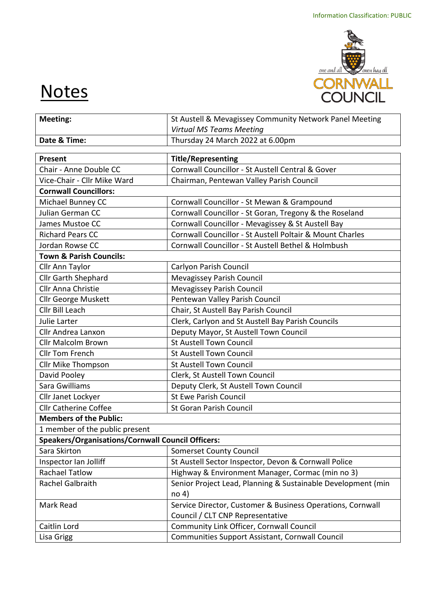

## **Notes**

| Meeting:                                                 | St Austell & Mevagissey Community Network Panel Meeting                       |  |
|----------------------------------------------------------|-------------------------------------------------------------------------------|--|
|                                                          | <b>Virtual MS Teams Meeting</b>                                               |  |
| Date & Time:                                             | Thursday 24 March 2022 at 6.00pm                                              |  |
|                                                          |                                                                               |  |
| Present                                                  | <b>Title/Representing</b><br>Cornwall Councillor - St Austell Central & Gover |  |
| Chair - Anne Double CC                                   |                                                                               |  |
| Vice-Chair - Cllr Mike Ward                              | Chairman, Pentewan Valley Parish Council                                      |  |
| <b>Cornwall Councillors:</b>                             |                                                                               |  |
| Michael Bunney CC                                        | Cornwall Councillor - St Mewan & Grampound                                    |  |
| Julian German CC                                         | Cornwall Councillor - St Goran, Tregony & the Roseland                        |  |
| James Mustoe CC                                          | Cornwall Councillor - Mevagissey & St Austell Bay                             |  |
| <b>Richard Pears CC</b>                                  | Cornwall Councillor - St Austell Poltair & Mount Charles                      |  |
| Jordan Rowse CC                                          | Cornwall Councillor - St Austell Bethel & Holmbush                            |  |
| <b>Town &amp; Parish Councils:</b>                       |                                                                               |  |
| Cllr Ann Taylor                                          | Carlyon Parish Council                                                        |  |
| Cllr Garth Shephard                                      | Mevagissey Parish Council                                                     |  |
| <b>Cllr Anna Christie</b>                                | Mevagissey Parish Council                                                     |  |
| Cllr George Muskett                                      | Pentewan Valley Parish Council                                                |  |
| Cllr Bill Leach                                          | Chair, St Austell Bay Parish Council                                          |  |
| Julie Larter                                             | Clerk, Carlyon and St Austell Bay Parish Councils                             |  |
| Cllr Andrea Lanxon                                       | Deputy Mayor, St Austell Town Council                                         |  |
| <b>Cllr Malcolm Brown</b>                                | <b>St Austell Town Council</b>                                                |  |
| <b>Cllr Tom French</b>                                   | <b>St Austell Town Council</b>                                                |  |
| Cllr Mike Thompson                                       | <b>St Austell Town Council</b>                                                |  |
| David Pooley                                             | Clerk, St Austell Town Council                                                |  |
| Sara Gwilliams                                           | Deputy Clerk, St Austell Town Council                                         |  |
| Cllr Janet Lockyer                                       | <b>St Ewe Parish Council</b>                                                  |  |
| <b>Cllr Catherine Coffee</b>                             | <b>St Goran Parish Council</b>                                                |  |
| <b>Members of the Public:</b>                            |                                                                               |  |
| 1 member of the public present                           |                                                                               |  |
| <b>Speakers/Organisations/Cornwall Council Officers:</b> |                                                                               |  |
| Sara Skirton                                             | <b>Somerset County Council</b>                                                |  |
| Inspector Ian Jolliff                                    | St Austell Sector Inspector, Devon & Cornwall Police                          |  |
| <b>Rachael Tatlow</b>                                    | Highway & Environment Manager, Cormac (min no 3)                              |  |
| Rachel Galbraith                                         | Senior Project Lead, Planning & Sustainable Development (min                  |  |
|                                                          | no <sub>4</sub>                                                               |  |
| Mark Read                                                | Service Director, Customer & Business Operations, Cornwall                    |  |
|                                                          | Council / CLT CNP Representative                                              |  |
| Caitlin Lord                                             | Community Link Officer, Cornwall Council                                      |  |
| Lisa Grigg                                               | Communities Support Assistant, Cornwall Council                               |  |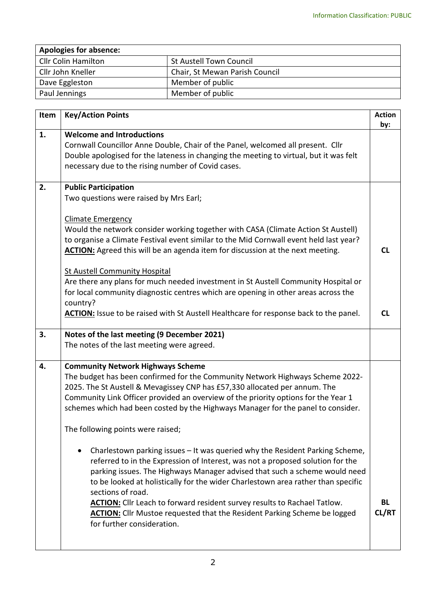| <b>Apologies for absence:</b> |                                |  |  |
|-------------------------------|--------------------------------|--|--|
| Cllr Colin Hamilton           | St Austell Town Council        |  |  |
| Cllr John Kneller             | Chair, St Mewan Parish Council |  |  |
| Dave Eggleston                | Member of public               |  |  |
| Paul Jennings                 | Member of public               |  |  |

| Item | <b>Key/Action Points</b>                                                                                                                                                                                                                                                                                                                                                                                                                                                                                                                                                                                                                                                                                                                                                                                                                                                                                                                                                     | <b>Action</b><br>by:   |
|------|------------------------------------------------------------------------------------------------------------------------------------------------------------------------------------------------------------------------------------------------------------------------------------------------------------------------------------------------------------------------------------------------------------------------------------------------------------------------------------------------------------------------------------------------------------------------------------------------------------------------------------------------------------------------------------------------------------------------------------------------------------------------------------------------------------------------------------------------------------------------------------------------------------------------------------------------------------------------------|------------------------|
| 1.   | <b>Welcome and Introductions</b><br>Cornwall Councillor Anne Double, Chair of the Panel, welcomed all present. Cllr<br>Double apologised for the lateness in changing the meeting to virtual, but it was felt<br>necessary due to the rising number of Covid cases.                                                                                                                                                                                                                                                                                                                                                                                                                                                                                                                                                                                                                                                                                                          |                        |
| 2.   | <b>Public Participation</b><br>Two questions were raised by Mrs Earl;<br><b>Climate Emergency</b><br>Would the network consider working together with CASA (Climate Action St Austell)<br>to organise a Climate Festival event similar to the Mid Cornwall event held last year?<br>ACTION: Agreed this will be an agenda item for discussion at the next meeting.<br><b>St Austell Community Hospital</b><br>Are there any plans for much needed investment in St Austell Community Hospital or<br>for local community diagnostic centres which are opening in other areas across the<br>country?<br>ACTION: Issue to be raised with St Austell Healthcare for response back to the panel.                                                                                                                                                                                                                                                                                  | <b>CL</b><br><b>CL</b> |
| 3.   | Notes of the last meeting (9 December 2021)<br>The notes of the last meeting were agreed.                                                                                                                                                                                                                                                                                                                                                                                                                                                                                                                                                                                                                                                                                                                                                                                                                                                                                    |                        |
| 4.   | <b>Community Network Highways Scheme</b><br>The budget has been confirmed for the Community Network Highways Scheme 2022-<br>2025. The St Austell & Mevagissey CNP has £57,330 allocated per annum. The<br>Community Link Officer provided an overview of the priority options for the Year 1<br>schemes which had been costed by the Highways Manager for the panel to consider.<br>The following points were raised;<br>Charlestown parking issues - It was queried why the Resident Parking Scheme,<br>referred to in the Expression of Interest, was not a proposed solution for the<br>parking issues. The Highways Manager advised that such a scheme would need<br>to be looked at holistically for the wider Charlestown area rather than specific<br>sections of road.<br>ACTION: Cllr Leach to forward resident survey results to Rachael Tatlow.<br><b>ACTION:</b> Cllr Mustoe requested that the Resident Parking Scheme be logged<br>for further consideration. | <b>BL</b><br>CL/RT     |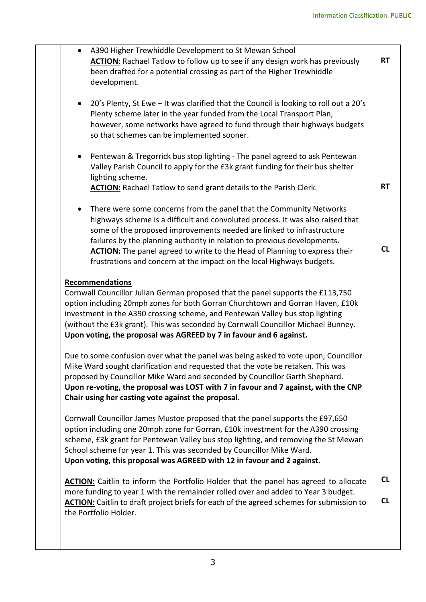|                                                                                                                                                                   |                                                                                     | A390 Higher Trewhiddle Development to St Mewan School                                           |           |
|-------------------------------------------------------------------------------------------------------------------------------------------------------------------|-------------------------------------------------------------------------------------|-------------------------------------------------------------------------------------------------|-----------|
|                                                                                                                                                                   | <b>ACTION:</b> Rachael Tatlow to follow up to see if any design work has previously |                                                                                                 | <b>RT</b> |
|                                                                                                                                                                   | been drafted for a potential crossing as part of the Higher Trewhiddle              |                                                                                                 |           |
|                                                                                                                                                                   |                                                                                     | development.                                                                                    |           |
|                                                                                                                                                                   |                                                                                     |                                                                                                 |           |
|                                                                                                                                                                   |                                                                                     | 20's Plenty, St Ewe - It was clarified that the Council is looking to roll out a 20's           |           |
|                                                                                                                                                                   |                                                                                     | Plenty scheme later in the year funded from the Local Transport Plan,                           |           |
|                                                                                                                                                                   |                                                                                     | however, some networks have agreed to fund through their highways budgets                       |           |
|                                                                                                                                                                   |                                                                                     | so that schemes can be implemented sooner.                                                      |           |
|                                                                                                                                                                   |                                                                                     |                                                                                                 |           |
|                                                                                                                                                                   | $\bullet$                                                                           | Pentewan & Tregorrick bus stop lighting - The panel agreed to ask Pentewan                      |           |
|                                                                                                                                                                   |                                                                                     | Valley Parish Council to apply for the £3k grant funding for their bus shelter                  |           |
|                                                                                                                                                                   |                                                                                     | lighting scheme.                                                                                |           |
|                                                                                                                                                                   |                                                                                     | <b>ACTION:</b> Rachael Tatlow to send grant details to the Parish Clerk.                        | <b>RT</b> |
|                                                                                                                                                                   |                                                                                     |                                                                                                 |           |
|                                                                                                                                                                   | $\bullet$                                                                           | There were some concerns from the panel that the Community Networks                             |           |
|                                                                                                                                                                   |                                                                                     | highways scheme is a difficult and convoluted process. It was also raised that                  |           |
|                                                                                                                                                                   |                                                                                     | some of the proposed improvements needed are linked to infrastructure                           |           |
|                                                                                                                                                                   |                                                                                     | failures by the planning authority in relation to previous developments.                        |           |
|                                                                                                                                                                   |                                                                                     | <b>ACTION:</b> The panel agreed to write to the Head of Planning to express their               | <b>CL</b> |
|                                                                                                                                                                   |                                                                                     | frustrations and concern at the impact on the local Highways budgets.                           |           |
|                                                                                                                                                                   |                                                                                     |                                                                                                 |           |
|                                                                                                                                                                   |                                                                                     | <b>Recommendations</b>                                                                          |           |
|                                                                                                                                                                   |                                                                                     |                                                                                                 |           |
| Cornwall Councillor Julian German proposed that the panel supports the £113,750<br>option including 20mph zones for both Gorran Churchtown and Gorran Haven, £10k |                                                                                     |                                                                                                 |           |
|                                                                                                                                                                   |                                                                                     | investment in the A390 crossing scheme, and Pentewan Valley bus stop lighting                   |           |
|                                                                                                                                                                   |                                                                                     | (without the £3k grant). This was seconded by Cornwall Councillor Michael Bunney.               |           |
|                                                                                                                                                                   |                                                                                     | Upon voting, the proposal was AGREED by 7 in favour and 6 against.                              |           |
|                                                                                                                                                                   |                                                                                     |                                                                                                 |           |
|                                                                                                                                                                   |                                                                                     | Due to some confusion over what the panel was being asked to vote upon, Councillor              |           |
|                                                                                                                                                                   |                                                                                     |                                                                                                 |           |
|                                                                                                                                                                   |                                                                                     | Mike Ward sought clarification and requested that the vote be retaken. This was                 |           |
|                                                                                                                                                                   |                                                                                     | proposed by Councillor Mike Ward and seconded by Councillor Garth Shephard.                     |           |
|                                                                                                                                                                   |                                                                                     | Upon re-voting, the proposal was LOST with 7 in favour and 7 against, with the CNP              |           |
|                                                                                                                                                                   |                                                                                     | Chair using her casting vote against the proposal.                                              |           |
|                                                                                                                                                                   |                                                                                     | Cornwall Councillor James Mustoe proposed that the panel supports the £97,650                   |           |
|                                                                                                                                                                   |                                                                                     |                                                                                                 |           |
|                                                                                                                                                                   |                                                                                     | option including one 20mph zone for Gorran, £10k investment for the A390 crossing               |           |
|                                                                                                                                                                   |                                                                                     | scheme, £3k grant for Pentewan Valley bus stop lighting, and removing the St Mewan              |           |
|                                                                                                                                                                   |                                                                                     | School scheme for year 1. This was seconded by Councillor Mike Ward.                            |           |
|                                                                                                                                                                   |                                                                                     | Upon voting, this proposal was AGREED with 12 in favour and 2 against.                          |           |
|                                                                                                                                                                   |                                                                                     |                                                                                                 | <b>CL</b> |
|                                                                                                                                                                   |                                                                                     | <b>ACTION:</b> Caitlin to inform the Portfolio Holder that the panel has agreed to allocate     |           |
|                                                                                                                                                                   |                                                                                     | more funding to year 1 with the remainder rolled over and added to Year 3 budget.               | CL        |
|                                                                                                                                                                   |                                                                                     | <b>ACTION:</b> Caitlin to draft project briefs for each of the agreed schemes for submission to |           |
|                                                                                                                                                                   |                                                                                     | the Portfolio Holder.                                                                           |           |
|                                                                                                                                                                   |                                                                                     |                                                                                                 |           |
|                                                                                                                                                                   |                                                                                     |                                                                                                 |           |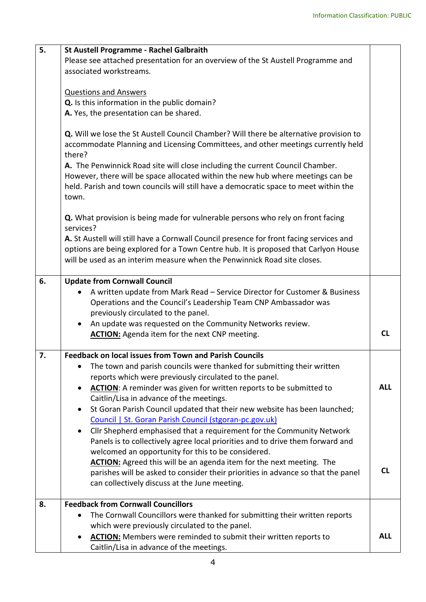| 5.                                                                                   | <b>St Austell Programme - Rachel Galbraith</b>                                                                                                                                              |            |  |  |
|--------------------------------------------------------------------------------------|---------------------------------------------------------------------------------------------------------------------------------------------------------------------------------------------|------------|--|--|
|                                                                                      | Please see attached presentation for an overview of the St Austell Programme and                                                                                                            |            |  |  |
|                                                                                      | associated workstreams.                                                                                                                                                                     |            |  |  |
|                                                                                      |                                                                                                                                                                                             |            |  |  |
|                                                                                      | <b>Questions and Answers</b>                                                                                                                                                                |            |  |  |
|                                                                                      | Q. Is this information in the public domain?                                                                                                                                                |            |  |  |
|                                                                                      | A. Yes, the presentation can be shared.                                                                                                                                                     |            |  |  |
|                                                                                      |                                                                                                                                                                                             |            |  |  |
|                                                                                      | <b>Q.</b> Will we lose the St Austell Council Chamber? Will there be alternative provision to<br>accommodate Planning and Licensing Committees, and other meetings currently held<br>there? |            |  |  |
|                                                                                      | A. The Penwinnick Road site will close including the current Council Chamber.                                                                                                               |            |  |  |
|                                                                                      | However, there will be space allocated within the new hub where meetings can be                                                                                                             |            |  |  |
| held. Parish and town councils will still have a democratic space to meet within the |                                                                                                                                                                                             |            |  |  |
|                                                                                      | town.                                                                                                                                                                                       |            |  |  |
|                                                                                      |                                                                                                                                                                                             |            |  |  |
|                                                                                      | Q. What provision is being made for vulnerable persons who rely on front facing<br>services?                                                                                                |            |  |  |
|                                                                                      | A. St Austell will still have a Cornwall Council presence for front facing services and                                                                                                     |            |  |  |
| options are being explored for a Town Centre hub. It is proposed that Carlyon House  |                                                                                                                                                                                             |            |  |  |
|                                                                                      | will be used as an interim measure when the Penwinnick Road site closes.                                                                                                                    |            |  |  |
|                                                                                      |                                                                                                                                                                                             |            |  |  |
| 6.                                                                                   | <b>Update from Cornwall Council</b>                                                                                                                                                         |            |  |  |
|                                                                                      | A written update from Mark Read - Service Director for Customer & Business                                                                                                                  |            |  |  |
| Operations and the Council's Leadership Team CNP Ambassador was                      |                                                                                                                                                                                             |            |  |  |
|                                                                                      | previously circulated to the panel.                                                                                                                                                         |            |  |  |
| An update was requested on the Community Networks review.<br>$\bullet$               |                                                                                                                                                                                             |            |  |  |
|                                                                                      | <b>ACTION:</b> Agenda item for the next CNP meeting.                                                                                                                                        | <b>CL</b>  |  |  |
| 7.                                                                                   | <b>Feedback on local issues from Town and Parish Councils</b>                                                                                                                               |            |  |  |
|                                                                                      | The town and parish councils were thanked for submitting their written                                                                                                                      |            |  |  |
|                                                                                      | reports which were previously circulated to the panel.                                                                                                                                      |            |  |  |
|                                                                                      | <b>ACTION:</b> A reminder was given for written reports to be submitted to                                                                                                                  | <b>ALL</b> |  |  |
|                                                                                      | Caitlin/Lisa in advance of the meetings.                                                                                                                                                    |            |  |  |
|                                                                                      | St Goran Parish Council updated that their new website has been launched;                                                                                                                   |            |  |  |
|                                                                                      | Council   St. Goran Parish Council (stgoran-pc.gov.uk)                                                                                                                                      |            |  |  |
|                                                                                      | Cllr Shepherd emphasised that a requirement for the Community Network                                                                                                                       |            |  |  |
|                                                                                      | Panels is to collectively agree local priorities and to drive them forward and                                                                                                              |            |  |  |
|                                                                                      | welcomed an opportunity for this to be considered.                                                                                                                                          |            |  |  |
|                                                                                      | <b>ACTION:</b> Agreed this will be an agenda item for the next meeting. The                                                                                                                 |            |  |  |
|                                                                                      | parishes will be asked to consider their priorities in advance so that the panel                                                                                                            | <b>CL</b>  |  |  |
|                                                                                      | can collectively discuss at the June meeting.                                                                                                                                               |            |  |  |
| 8.                                                                                   | <b>Feedback from Cornwall Councillors</b>                                                                                                                                                   |            |  |  |
|                                                                                      | The Cornwall Councillors were thanked for submitting their written reports                                                                                                                  |            |  |  |
|                                                                                      | which were previously circulated to the panel.                                                                                                                                              |            |  |  |
|                                                                                      | <b>ACTION:</b> Members were reminded to submit their written reports to                                                                                                                     | <b>ALL</b> |  |  |
|                                                                                      | Caitlin/Lisa in advance of the meetings.                                                                                                                                                    |            |  |  |